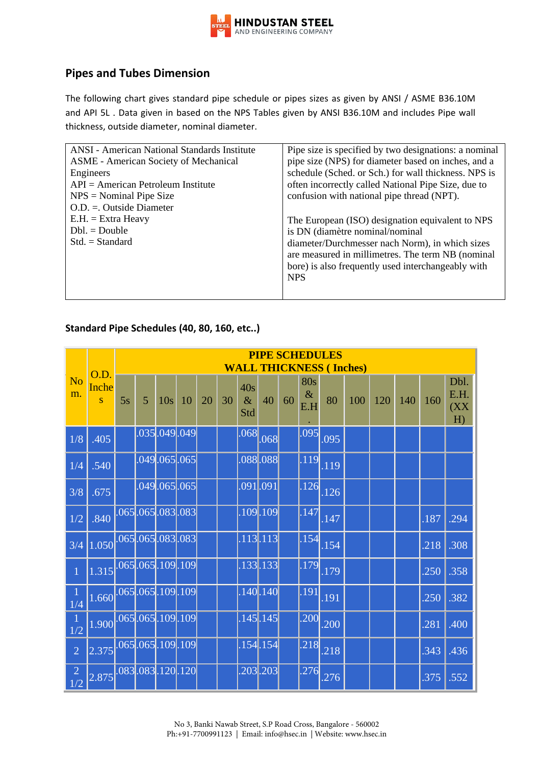

## **Pipes and Tubes Dimension**

The following chart gives standard pipe schedule or pipes sizes as given by ANSI / ASME B36.10M and API 5L . Data given in based on the NPS Tables given by ANSI B36.10M and includes Pipe wall thickness, outside diameter, nominal diameter.

| ANSI - American National Standards Institute | Pipe size is specified by two designations: a nominal |
|----------------------------------------------|-------------------------------------------------------|
| <b>ASME</b> - American Society of Mechanical | pipe size (NPS) for diameter based on inches, and a   |
| Engineers                                    | schedule (Sched. or Sch.) for wall thickness. NPS is  |
| $API = American Petroleum Institute$         | often incorrectly called National Pipe Size, due to   |
| $NPS = Nominal$ Pipe Size                    | confusion with national pipe thread (NPT).            |
| $O.D. = Outside Diameter$                    |                                                       |
| $E.H. = Extra$ Heavy                         | The European (ISO) designation equivalent to NPS      |
| $Dbl = Double$                               | is DN (diamètre nominal/nominal                       |
| $Std. = Standard$                            | diameter/Durchmesser nach Norm), in which sizes       |
|                                              | are measured in millimetres. The term NB (nominal     |
|                                              | bore) is also frequently used interchangeably with    |
|                                              | <b>NPS</b>                                            |
|                                              |                                                       |
|                                              |                                                       |

## **Standard Pipe Schedules (40, 80, 160, etc..)**

|                      |                       | <b>PIPE SCHEDULES</b>  |                                          |                 |    |    |    |                    |                        |    |                           |          |     |     |     |      |                            |
|----------------------|-----------------------|------------------------|------------------------------------------|-----------------|----|----|----|--------------------|------------------------|----|---------------------------|----------|-----|-----|-----|------|----------------------------|
|                      | O.D.                  |                        | <b>THICKNESS (Inches)</b><br><b>WALL</b> |                 |    |    |    |                    |                        |    |                           |          |     |     |     |      |                            |
| N <sub>o</sub><br>m. | Inche<br>$\mathbf S$  | 5s                     | $\overline{5}$                           | 10 <sub>s</sub> | 10 | 20 | 30 | 40s<br>$\&$<br>Std | 40                     | 60 | <b>80s</b><br>$\&$<br>E.H | 80       | 100 | 120 | 140 | 160  | Dbl.<br>E.H.<br>(XX)<br>H) |
| 1/8                  | .405                  |                        |                                          | .035 .049 .049  |    |    |    | .068               | .068                   |    | .095                      | .095     |     |     |     |      |                            |
| 1/4                  | .540                  |                        | $.049 \cdot 065 \cdot 065$               |                 |    |    |    |                    | .088088                |    |                           | .119.119 |     |     |     |      |                            |
| 3/8                  | .675                  |                        | $.049 \cdot 065 \cdot 065$               |                 |    |    |    |                    | .091 .091              |    | .126                      | .126     |     |     |     |      |                            |
| 1/2                  | .840                  | $.065$ , 065, 083, 083 |                                          |                 |    |    |    |                    | .109.109               |    | .147                      | .147     |     |     |     | .187 | .294                       |
| 3/4                  | 1.050.065.065.083.083 |                        |                                          |                 |    |    |    |                    | $.113$ <sub>.113</sub> |    | .154                      | .154     |     |     |     | .218 | .308                       |
| $\overline{1}$       | 1.315.065.065.109.109 |                        |                                          |                 |    |    |    |                    | $.133$ . 133           |    | .179                      | .179     |     |     |     | .250 | .358                       |
| 1/4                  | 1.660.065.065.109.109 |                        |                                          |                 |    |    |    |                    | $.140-.140$            |    | .191                      | .191     |     |     |     | .250 | .382                       |
| $\frac{1}{1/2}$      | 1.900.065.065.109.109 |                        |                                          |                 |    |    |    |                    | $.145$ . 145           |    | .200                      | .200     |     |     |     | .281 | .400                       |
| $\overline{2}$       | 2.375.065.065.109.109 |                        |                                          |                 |    |    |    |                    | $.154$ <sub>.154</sub> |    | .218                      | .218     |     |     |     | .343 | .436                       |
| $\frac{2}{1/2}$      | 2.875.083.083.120.120 |                        |                                          |                 |    |    |    |                    | .203.203               |    | .276                      | .276     |     |     |     | .375 | .552                       |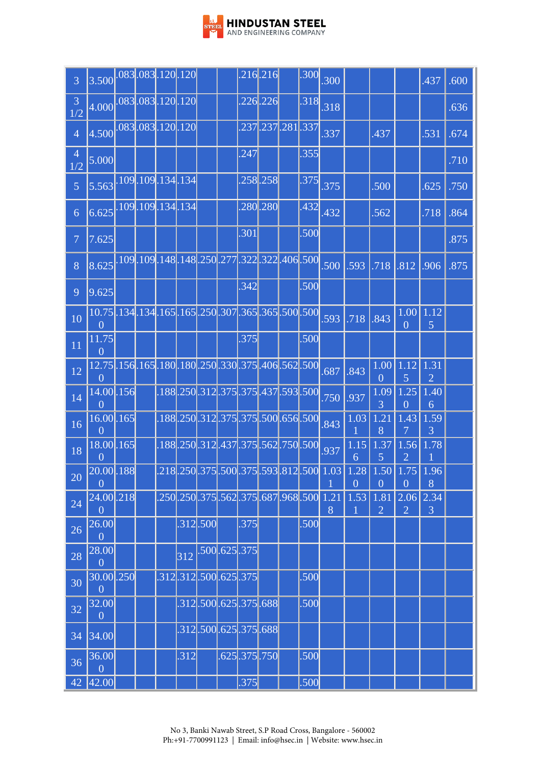

| $\overline{3}$        | 3.500.083.083.120.120                                                |  |      |                |                      |              | $.216-.216$ |                                  | .300 | .300                                                            |                                                                             |                        |                        | .437                   | .600 |
|-----------------------|----------------------------------------------------------------------|--|------|----------------|----------------------|--------------|-------------|----------------------------------|------|-----------------------------------------------------------------|-----------------------------------------------------------------------------|------------------------|------------------------|------------------------|------|
| $\mathfrak{Z}$<br>1/2 | 4.000.083.083.120.120                                                |  |      |                |                      |              | $.226$ .226 |                                  | .318 | .318                                                            |                                                                             |                        |                        |                        | .636 |
| $\overline{4}$        | 4.500.083.083.120.120                                                |  |      |                |                      |              |             | .237 .237 .281 .337              |      | .337                                                            |                                                                             | .437                   |                        | .531                   | .674 |
| $\overline{4}$<br>1/2 | 5.000                                                                |  |      |                |                      | .247         |             |                                  | .355 |                                                                 |                                                                             |                        |                        |                        | .710 |
| $\overline{5}$        | 5.563.109.109.134.134                                                |  |      |                |                      |              | .258.258    |                                  | .375 | .375                                                            |                                                                             | .500                   |                        | .625                   | .750 |
| 6                     | 6.625.109.109.134.134                                                |  |      |                |                      |              | .280.280    |                                  | .432 | .432                                                            |                                                                             | .562                   |                        | .718                   | .864 |
| $\overline{7}$        | 7.625                                                                |  |      |                |                      | .301         |             |                                  | .500 |                                                                 |                                                                             |                        |                        |                        | .875 |
| 8                     | 8.625. 109. 109. 148. 148. 250. 277. 322. 322. 406. 500              |  |      |                |                      |              |             |                                  |      | .500                                                            | .593                                                                        | $.718$ $.812$          |                        | .906                   | .875 |
| 9                     | 9.625                                                                |  |      |                |                      | .342         |             |                                  | .500 |                                                                 |                                                                             |                        |                        |                        |      |
| 10                    | 10.75.134.134.165.165.250.307.365.365.500.500<br>$\theta$            |  |      |                |                      |              |             |                                  |      | .593                                                            | .718                                                                        | .843                   | 1.00<br>$\overline{0}$ | 1.12<br>5              |      |
| 11                    | 11.75<br>$\overline{0}$                                              |  |      |                |                      | .375         |             |                                  | .500 |                                                                 |                                                                             |                        |                        |                        |      |
| 12                    | 12.75 .156 .165 .180 .180 .250 .330 .375 .406 .562 .500 <br>$\theta$ |  |      |                |                      |              |             |                                  |      | .687                                                            | .843                                                                        | 1.00<br>$\overline{0}$ | 1.12<br>5              | 1.31<br>$\overline{2}$ |      |
| 14                    | 14.00.156<br>$\overline{0}$                                          |  |      |                |                      |              |             | .188.250.312.375.375.437.593.500 |      | .750                                                            | .937                                                                        | 1.09<br>3              | 1.25<br>$\overline{0}$ | 1.40<br>6              |      |
| 16                    | $16.00$ .165<br>$\overline{0}$                                       |  |      |                |                      |              |             | .188,250,312,375,375,500,656,500 |      | .843                                                            | 1.03                                                                        | 1.21<br>8              | 1.43<br>7              | 1.59<br>3              |      |
| 18                    | 18.00.165<br>$\overline{0}$                                          |  |      |                |                      |              |             | .188.250.312.437.375.562.750.500 |      | .937                                                            | $\overline{1.15}$<br>6                                                      | 1.37<br>5              | $\overline{1.56}$<br>2 | 1.78                   |      |
| 20                    | $[20.00]$ .188<br>$\overline{0}$                                     |  |      |                |                      |              |             |                                  |      |                                                                 | .218.250.375.500.375.593.812.500.1.03.1.28.1.50.1.75.1.96<br>$\overline{0}$ | $\overline{0}$         | $\overline{0}$         | 8                      |      |
| 24                    | 24.00.218<br>$\overline{0}$                                          |  |      |                |                      |              |             |                                  |      | .250 <mark>.250</mark> .375 .562 .375 .687 .968 .500  1.21<br>8 | 1.53                                                                        | 1.81<br>$\overline{2}$ | 2.06<br>$\overline{2}$ | 2.34<br>3              |      |
| 26                    | 26.00<br>$\theta$                                                    |  |      | $.312$ , $500$ |                      | .375         |             |                                  | .500 |                                                                 |                                                                             |                        |                        |                        |      |
| 28                    | 28.00<br>$\overline{0}$                                              |  | 312  |                | .500.625.375         |              |             |                                  |      |                                                                 |                                                                             |                        |                        |                        |      |
| 30                    | 30.00 .250<br>$\overline{0}$                                         |  |      |                | .312.312.500.625.375 |              |             |                                  | .500 |                                                                 |                                                                             |                        |                        |                        |      |
| 32                    | 32.00<br>$\overline{0}$                                              |  |      |                | .312.500.625.375.688 |              |             |                                  | .500 |                                                                 |                                                                             |                        |                        |                        |      |
| 34                    | 34.00                                                                |  |      |                | .312.500.625.375.688 |              |             |                                  |      |                                                                 |                                                                             |                        |                        |                        |      |
| 36                    | 36.00<br>$\overline{0}$                                              |  | .312 |                |                      | .625.375.750 |             |                                  | .500 |                                                                 |                                                                             |                        |                        |                        |      |
| 42                    | 42.00                                                                |  |      |                |                      | .375         |             |                                  | .500 |                                                                 |                                                                             |                        |                        |                        |      |